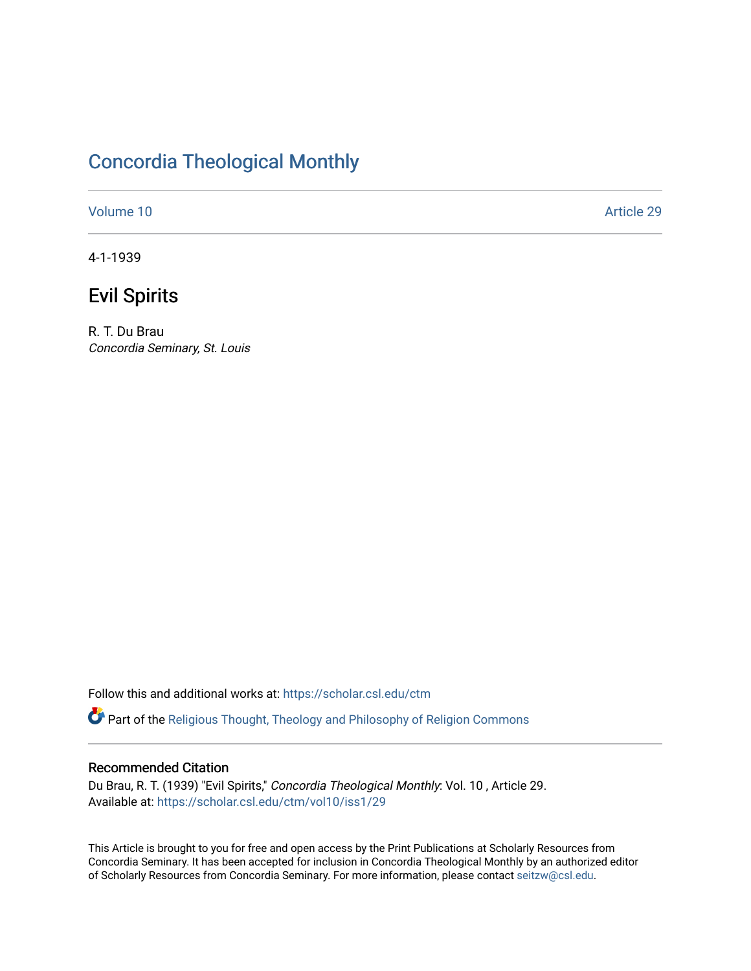## [Concordia Theological Monthly](https://scholar.csl.edu/ctm)

[Volume 10](https://scholar.csl.edu/ctm/vol10) Article 29

4-1-1939

# Evil Spirits

R. T. Du Brau Concordia Seminary, St. Louis

Follow this and additional works at: [https://scholar.csl.edu/ctm](https://scholar.csl.edu/ctm?utm_source=scholar.csl.edu%2Fctm%2Fvol10%2Fiss1%2F29&utm_medium=PDF&utm_campaign=PDFCoverPages)

Part of the [Religious Thought, Theology and Philosophy of Religion Commons](http://network.bepress.com/hgg/discipline/544?utm_source=scholar.csl.edu%2Fctm%2Fvol10%2Fiss1%2F29&utm_medium=PDF&utm_campaign=PDFCoverPages) 

## Recommended Citation

Du Brau, R. T. (1939) "Evil Spirits," Concordia Theological Monthly: Vol. 10 , Article 29. Available at: [https://scholar.csl.edu/ctm/vol10/iss1/29](https://scholar.csl.edu/ctm/vol10/iss1/29?utm_source=scholar.csl.edu%2Fctm%2Fvol10%2Fiss1%2F29&utm_medium=PDF&utm_campaign=PDFCoverPages) 

This Article is brought to you for free and open access by the Print Publications at Scholarly Resources from Concordia Seminary. It has been accepted for inclusion in Concordia Theological Monthly by an authorized editor of Scholarly Resources from Concordia Seminary. For more information, please contact [seitzw@csl.edu](mailto:seitzw@csl.edu).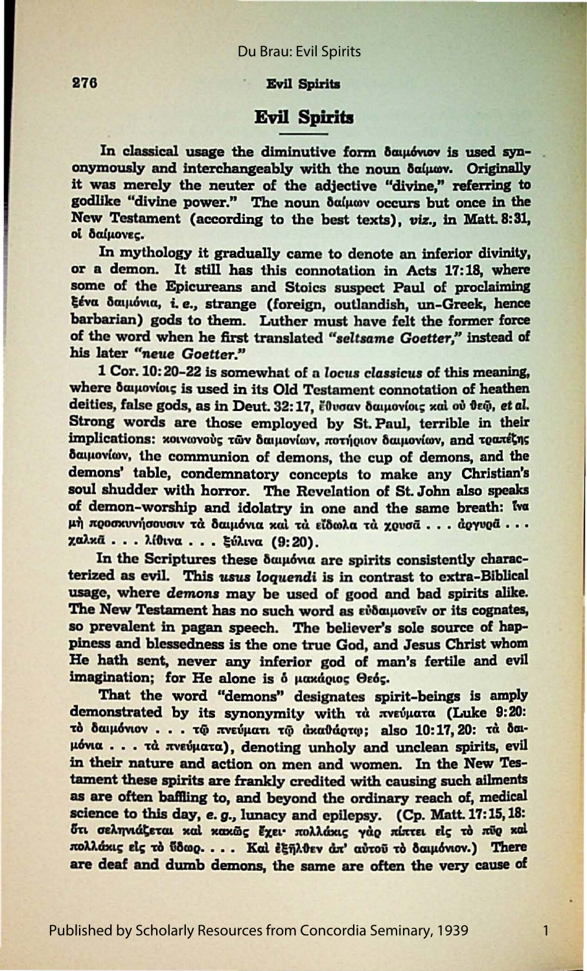#### **Evil Spirits**

### **Evil Spirits**

In classical usage the diminutive form δαμιόνιον is used synonymously and interchangeably with the noun δαίμων. Originally it was merely the neuter of the adjective "divine," referring to godlike "divine power." The noun δαίμων occurs but once in the New Testament (according to the best texts), viz., in Matt. 8:31, οί δαίμονες.

In mythology it gradually came to denote an inferior divinity, or a demon. It still has this connotation in Acts 17:18, where some of the Epicureans and Stoics suspect Paul of proclaiming ξένα δαιμόνια, i.e., strange (foreign, outlandish, un-Greek, hence barbarian) gods to them. Luther must have felt the former force of the word when he first translated "seltsame Goetter," instead of his later "neue Goetter."

1 Cor. 10:20-22 is somewhat of a locus classicus of this meaning, where δαιμονίοις is used in its Old Testament connotation of heathen deities, false gods, as in Deut. 32:17. ἔθυσαν δαμονίοις και ου θεώ, et al. Strong words are those employed by St. Paul, terrible in their implications: κοινωνούς των δαιμονίων, ποτήριον δαιμονίων, and τραπέζης δαιμονίων, the communion of demons, the cup of demons, and the demons' table, condemnatory concepts to make any Christian's soul shudder with horror. The Revelation of St. John also speaks of demon-worship and idolatry in one and the same breath: Iva μή προσκυνήσουσιν τά δαιμόνια καί τα είδωλα τα χρυσά... άργυρά... χαλκά... λίθινα... ξύλινα (9:20).

In the Scriptures these δαιμόνια are spirits consistently characterized as evil. This usus loquendi is in contrast to extra-Biblical usage, where demons may be used of good and bad spirits alike. The New Testament has no such word as ευδαιμονείν or its cognates, so prevalent in pagan speech. The believer's sole source of happiness and blessedness is the one true God, and Jesus Christ whom He hath sent, never any inferior god of man's fertile and evil imagination; for He alone is  $\delta$  μακάριος Θεός.

That the word "demons" designates spirit-beings is amply demonstrated by its synonymity with τα πνεύματα (Luke 9:20: τό δαιμόνιον... τω πνεύματι τω άκαθάρτω: also 10:17, 20: τά δαιμόνια... τὰ πνεύματα), denoting unholy and unclean spirits, evil in their nature and action on men and women. In the New Testament these spirits are frankly credited with causing such ailments as are often baffling to, and beyond the ordinary reach of, medical science to this day, e.g., lunacy and epilepsy. (Cp. Matt. 17:15, 18: ότι σεληνιάζεται καί κακώς έχει· πολλάκις γάρ πίπτει είς τό πύρ καί πολλάκις είς το ύδωρ.... Καί έξηλθεν άπ' αύτου το δαιμόνιον.) There are deaf and dumb demons, the same are often the very cause of

 $\mathbf{1}$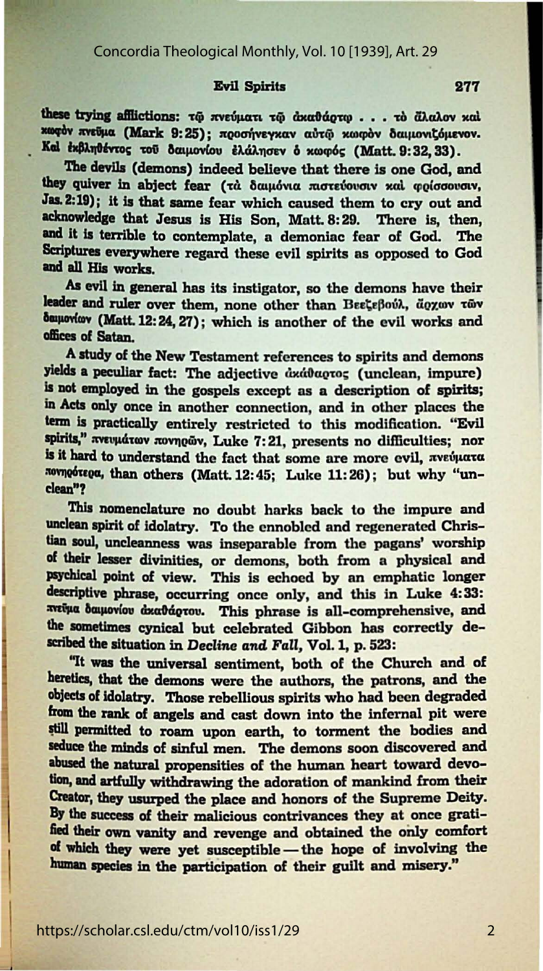#### **Evil Spirits**

these trying afflictions: τω πνεύματι τω ακαθάρτω... το άλαλον καί κωφόν πνεύμα (Mark 9:25); προσήνεγκαν αύτω κωφόν δαιμονιζόμενον. Καί έκβληθέντος του δαιμονίου έλάλησεν ό κωφός (Matt. 9:32, 33).

The devils (demons) indeed believe that there is one God, and they quiver in abject fear (τα δαιμόνια πιστεύουσιν και φρίσσουσιν, Jas. 2:19); it is that same fear which caused them to cry out and acknowledge that Jesus is His Son, Matt. 8:29. There is, then, and it is terrible to contemplate, a demoniac fear of God. The Scriptures everywhere regard these evil spirits as opposed to God and all His works.

As evil in general has its instigator, so the demons have their leader and ruler over them, none other than Βεεζεβούλ, άρχων των δαμονίων (Matt. 12:24, 27); which is another of the evil works and offices of Satan.

A study of the New Testament references to spirits and demons yields a peculiar fact: The adjective dxddagros (unclean, impure) is not employed in the gospels except as a description of spirits; in Acts only once in another connection, and in other places the term is practically entirely restricted to this modification. "Evil spirits," πνευμάτων πονηρών, Luke 7:21, presents no difficulties; nor is it hard to understand the fact that some are more evil, πνεύματα πονηρότερα, than others (Matt. 12:45; Luke 11:26); but why "unclean"?

This nomenclature no doubt harks back to the impure and unclean spirit of idolatry. To the ennobled and regenerated Christian soul, uncleanness was inseparable from the pagans' worship of their lesser divinities, or demons, both from a physical and psychical point of view. This is echoed by an emphatic longer descriptive phrase, occurring once only, and this in Luke 4:33: πεύμα δαιμονίου άκαθάρτου. This phrase is all-comprehensive, and the sometimes cynical but celebrated Gibbon has correctly described the situation in Decline and Fall, Vol. 1, p. 523:

"It was the universal sentiment, both of the Church and of heretics, that the demons were the authors, the patrons, and the objects of idolatry. Those rebellious spirits who had been degraded from the rank of angels and cast down into the infernal pit were still permitted to roam upon earth, to torment the bodies and seduce the minds of sinful men. The demons soon discovered and abused the natural propensities of the human heart toward devotion, and artfully withdrawing the adoration of mankind from their Creator, they usurped the place and honors of the Supreme Deity. By the success of their malicious contrivances they at once gratified their own vanity and revenge and obtained the only comfort of which they were yet susceptible - the hope of involving the human species in the participation of their guilt and misery."